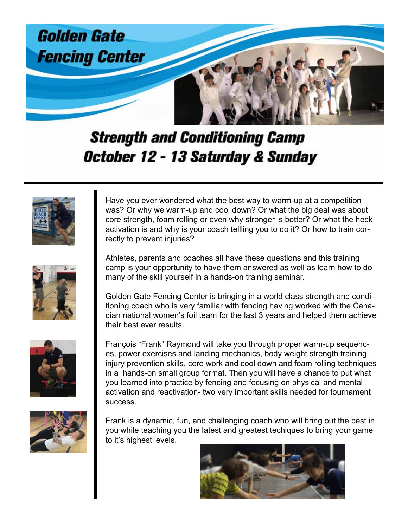

## **Strength and Conditioning Camp** October 12 - 13 Saturday & Sunday



Have you ever wondered what the best way to warm-up at a competition was? Or why we warm-up and cool down? Or what the big deal was about core strength, foam rolling or even why stronger is better? Or what the heck activation is and why is your coach tellling you to do it? Or how to train correctly to prevent injuries?



Athletes, parents and coaches all have these questions and this training camp is your opportunity to have them answered as well as learn how to do many of the skill yourself in a hands-on training seminar.

Golden Gate Fencing Center is bringing in a world class strength and conditioning coach who is very familiar with fencing having worked with the Canadian national women's foil team for the last 3 years and helped them achieve their best ever results.



François "Frank" Raymond will take you through proper warm-up sequences, power exercises and landing mechanics, body weight strength training, injury prevention skills, core work and cool down and foam rolling techniques in a hands-on small group format. Then you will have a chance to put what you learned into practice by fencing and focusing on physical and mental activation and reactivation- two very important skills needed for tournament success.



Frank is a dynamic, fun, and challenging coach who will bring out the best in you while teaching you the latest and greatest techiques to bring your game to it's highest levels.

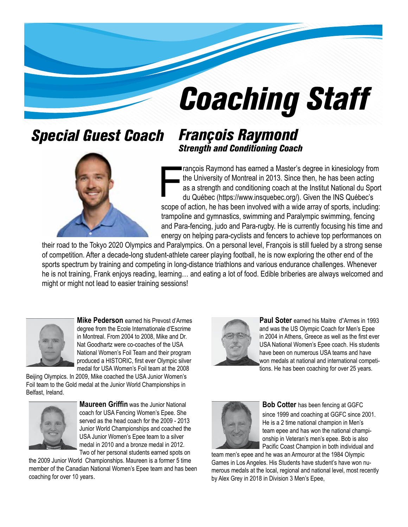# *Coaching Staff*

### *Special Guest Coach François Raymond*



## *Strength and Conditioning Coach*

rançois Raymond has earned a Master's degree in kinesiology from the University of Montreal in 2013. Since then, he has been acting as a strength and conditioning coach at the Institut National du Sport du Québec (https://www.insquebec.org/). Given the INS Québec's scope of action, he has been involved with a wide array of sports, including: trampoline and gymnastics, swimming and Paralympic swimming, fencing and Para-fencing, judo and Para-rugby. He is currently focusing his time and energy on helping para-cyclists and fencers to achieve top performances on

their road to the Tokyo 2020 Olympics and Paralympics. On a personal level, François is still fueled by a strong sense of competition. After a decade-long student-athlete career playing football, he is now exploring the other end of the sports spectrum by training and competing in long-distance triathlons and various endurance challenges. Whenever he is not training, Frank enjoys reading, learning… and eating a lot of food. Edible briberies are always welcomed and might or might not lead to easier training sessions!



**Mike Pederson** earned his Prevost d'Armes degree from the Ecole Internationale d'Escrime in Montreal. From 2004 to 2008, Mike and Dr. Nat Goodhartz were co-coaches of the USA National Women's Foil Team and their program produced a HISTORIC, first ever Olympic silver medal for USA Women's Foil team at the 2008

Beijing Olympics. In 2009, Mike coached the USA Junior Women's Foil team to the Gold medal at the Junior World Championships in Belfast, Ireland.



**Maureen Griffin** was the Junior National coach for USA Fencing Women's Epee. She served as the head coach for the 2009 - 2013 Junior World Championships and coached the USA Junior Women's Epee team to a silver medal in 2010 and a bronze medal in 2012. Two of her personal students earned spots on

the 2009 Junior World Championships. Maureen is a former 5 time member of the Canadian National Women's Epee team and has been coaching for over 10 years.



**Paul Soter** earned his Maitre d"Armes in 1993 and was the US Olympic Coach for Men's Epee in 2004 in Athens, Greece as well as the first ever USA National Women's Epee coach. His students have been on numerous USA teams and have won medals at national and international competitions. He has been coaching for over 25 years.



**Bob Cotter** has been fencing at GGFC since 1999 and coaching at GGFC since 2001. He is a 2 time national champion in Men's team epee and has won the national championship in Veteran's men's epee. Bob is also Pacific Coast Champion in both individual and

team men's epee and he was an Armouror at the 1984 Olympic Games in Los Angeles. His Students have student's have won numerous medals at the local, regional and national level, most recently by Alex Grey in 2018 in Division 3 Men's Epee,